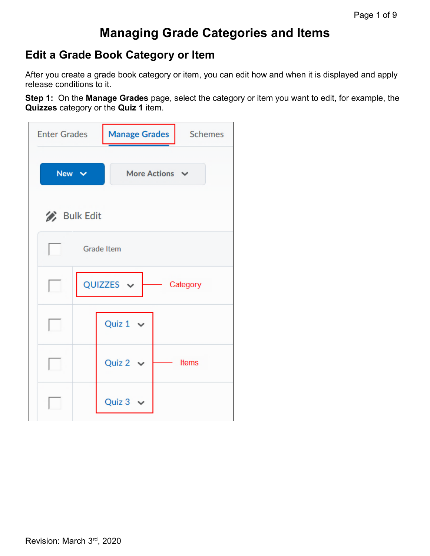# **Managing Grade Categories and Items**

## **Edit a Grade Book Category or Item**

After you create a grade book category or item, you can edit how and when it is displayed and apply release conditions to it.

**Step 1:** On the **Manage Grades** page, select the category or item you want to edit, for example, the **Quizzes** category or the **Quiz 1** item.

| <b>Enter Grades</b> | <b>Manage Grades</b>         | <b>Schemes</b> |
|---------------------|------------------------------|----------------|
| New v               | More Actions $\vee$          |                |
| <b>Bulk Edit</b>    |                              |                |
|                     | <b>Grade Item</b>            |                |
| H                   | QUIZZES $\vee$<br>- Category |                |
|                     | Quiz $1 \vee$                |                |
|                     | Quiz 2 $\sim$                | <b>Items</b>   |
|                     | Quiz $3 \sim$                |                |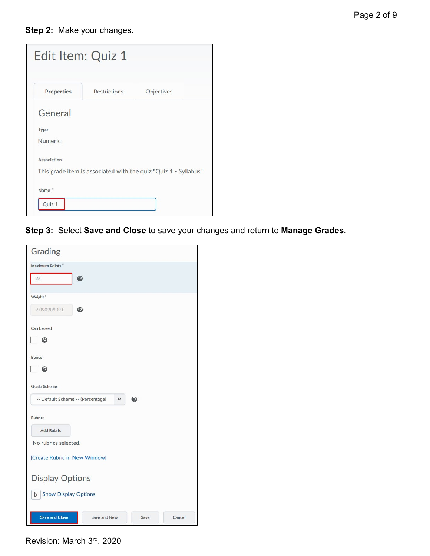#### **Step 2:** Make your changes.

| Edit Item: Quiz 1 |                     |                                                                 |
|-------------------|---------------------|-----------------------------------------------------------------|
| <b>Properties</b> | <b>Restrictions</b> | Objectives                                                      |
| General           |                     |                                                                 |
| Type              |                     |                                                                 |
| <b>Numeric</b>    |                     |                                                                 |
| Association       |                     |                                                                 |
|                   |                     | This grade item is associated with the quiz "Quiz 1 - Syllabus" |
| Name <sup>*</sup> |                     |                                                                 |
| Quiz 1            |                     |                                                                 |

**Step 3:** Select **Save and Close** to save your changes and return to **Manage Grades.**

| Grading                                         |      |        |
|-------------------------------------------------|------|--------|
| <b>Maximum Points*</b>                          |      |        |
| $\mathbf{Q}$<br>25                              |      |        |
| Weight <sup>*</sup>                             |      |        |
| 9.090909091<br>ℯ                                |      |        |
| <b>Can Exceed</b>                               |      |        |
| ΓΘ                                              |      |        |
| <b>Bonus</b>                                    |      |        |
| ட உ                                             |      |        |
| <b>Grade Scheme</b>                             |      |        |
| -- Default Scheme -- (Percentage)               | О    |        |
| <b>Rubrics</b>                                  |      |        |
| <b>Add Rubric</b>                               |      |        |
| No rubrics selected.                            |      |        |
| [Create Rubric in New Window]                   |      |        |
|                                                 |      |        |
| <b>Display Options</b>                          |      |        |
| <b>Show Display Options</b><br>$\triangleright$ |      |        |
| Save and Close<br>Save and New                  | Save | Cancel |

Revision: March 3rd, 2020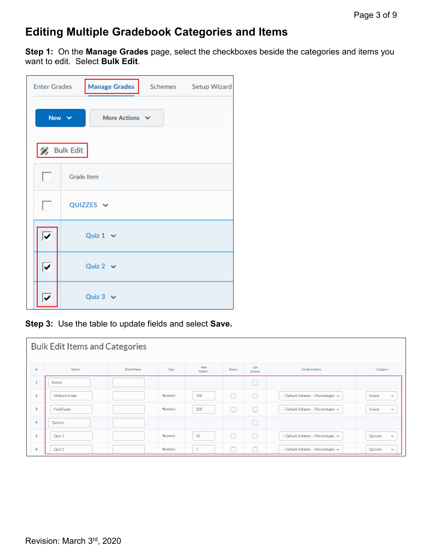# **Editing Multiple Gradebook Categories and Items**

**Step 1:** On the **Manage Grades** page, select the checkboxes beside the categories and items you want to edit. Select **Bulk Edit**.

| <b>Enter Grades</b> | <b>Manage Grades</b><br>Schemes Setup Wizard |  |  |  |
|---------------------|----------------------------------------------|--|--|--|
|                     | New $\vee$<br>More Actions V                 |  |  |  |
|                     | <b>Bulk Edit</b>                             |  |  |  |
|                     | <b>Grade Item</b>                            |  |  |  |
| H                   | QUIZZES V                                    |  |  |  |
| ✓                   | Quiz $1 \vee$                                |  |  |  |
| ⊽                   | Quiz 2 $\vee$                                |  |  |  |
|                     | Quiz $3 \vee$                                |  |  |  |

**Step 3:** Use the table to update fields and select **Save.** 

|                | <b>Bulk Edit Items and Categories</b> |            |         |                |       |               |                                          |                        |
|----------------|---------------------------------------|------------|---------|----------------|-------|---------------|------------------------------------------|------------------------|
| #              | Name*                                 | Short Name | Type    | Max<br>Points* | Bonus | Can<br>Exceed | Grade Scheme                             | Category               |
| 1              | Exams                                 |            |         |                |       |               |                                          |                        |
| $\overline{2}$ | Midterm Exam                          |            | Numeric | 100            | L.    | Ħ             | -- Default Scheme -- (Percentage) ~      | Exams<br>$\check{~}$   |
| 3              | Final Exam                            |            | Numeric | 200            | I.    | n             | -- Default Scheme -- (Percentage) ~      | Exams<br>$\check{~}$   |
| $\overline{4}$ | Quizzes                               |            |         |                |       |               |                                          |                        |
| 5              | Quiz 1                                |            | Numeric | 50             | Г     | ٦             | -- Default Scheme -- (Percentage) $\sim$ | Quizzes<br>$\check{~}$ |
| 6              | Quiz 2                                |            | Numeric | $\overline{7}$ |       |               | -- Default Scheme -- (Percentage) ~      | Quizzes<br>$\check{~}$ |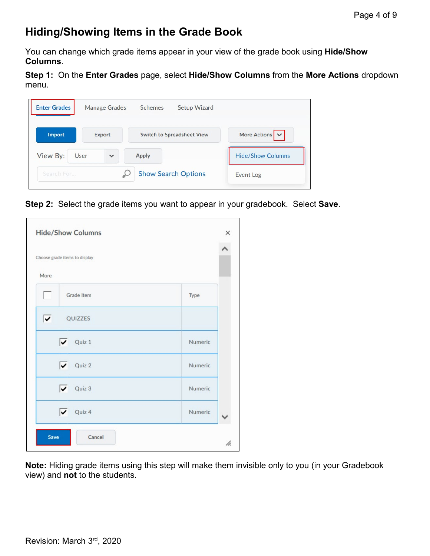# **Hiding/Showing Items in the Grade Book**

You can change which grade items appear in your view of the grade book using **Hide/Show Columns**.

**Step 1:** On the **Enter Grades** page, select **Hide/Show Columns** from the **More Actions** dropdown menu.



**Step 2:** Select the grade items you want to appear in your gradebook. Select **Save**.

| <b>Hide/Show Columns</b>      |         | × |
|-------------------------------|---------|---|
| Choose grade items to display |         |   |
| More                          |         |   |
| Grade Item<br>u               | Type    |   |
| ⊽<br>QUIZZES                  |         |   |
| $\sqrt{\phantom{a}}$ Quiz 1   | Numeric |   |
| $\sqrt{\phantom{a}}$ Quiz 2   | Numeric |   |
| $\sqrt{\phantom{a}}$ Quiz 3   | Numeric |   |
| $\sqrt{\phantom{a}}$ Quiz 4   | Numeric |   |
| Save<br>Cancel                |         |   |

**Note:** Hiding grade items using this step will make them invisible only to you (in your Gradebook view) and **not** to the students.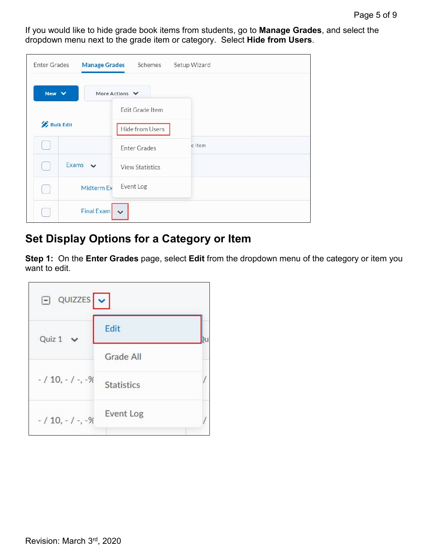If you would like to hide grade book items from students, go to **Manage Grades**, and select the dropdown menu next to the grade item or category. Select **Hide from Users**.

| <b>Enter Grades</b> |                   | Manage Grades Schemes  | Setup Wizard |
|---------------------|-------------------|------------------------|--------------|
| New $\vee$          |                   | More Actions $\vee$    |              |
|                     |                   | Edit Grade Item        |              |
| <b>Bulk Edit</b>    |                   | Hide from Users        |              |
|                     |                   | <b>Enter Grades</b>    | e Item       |
|                     | Exams $\vee$      | <b>View Statistics</b> |              |
|                     | <b>Midterm Ex</b> | Event Log              |              |
|                     | Final Exam        | $\checkmark$           |              |

# **Set Display Options for a Category or Item**

**Step 1:** On the **Enter Grades** page, select **Edit** from the dropdown menu of the category or item you want to edit.

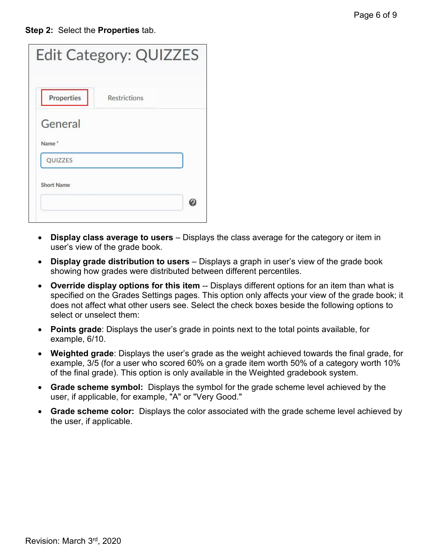**Step 2:** Select the **Properties** tab.

| <b>Properties</b> | <b>Restrictions</b> |  |
|-------------------|---------------------|--|
|                   |                     |  |
| General           |                     |  |
|                   |                     |  |
| Name*             |                     |  |
| <b>QUIZZES</b>    |                     |  |
|                   |                     |  |
|                   |                     |  |
|                   |                     |  |

- **Display class average to users** Displays the class average for the category or item in user's view of the grade book.
- **Display grade distribution to users** Displays a graph in user's view of the grade book showing how grades were distributed between different percentiles.
- **Override display options for this item** -- Displays different options for an item than what is specified on the Grades Settings pages. This option only affects your view of the grade book; it does not affect what other users see. Select the check boxes beside the following options to select or unselect them:
- **Points grade**: Displays the user's grade in points next to the total points available, for example, 6/10.
- **Weighted grade**: Displays the user's grade as the weight achieved towards the final grade, for example, 3/5 (for a user who scored 60% on a grade item worth 50% of a category worth 10% of the final grade). This option is only available in the Weighted gradebook system.
- **Grade scheme symbol:** Displays the symbol for the grade scheme level achieved by the user, if applicable, for example, "A" or "Very Good."
- **Grade scheme color:** Displays the color associated with the grade scheme level achieved by the user, if applicable.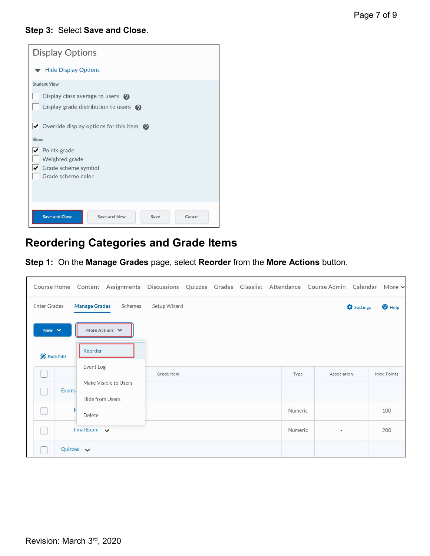#### **Step 3:** Select **Save and Close**.

| <b>Display Options</b>                                                                |
|---------------------------------------------------------------------------------------|
| <b>Hide Display Options</b>                                                           |
| <b>Student View</b>                                                                   |
| Display class average to users $\odot$<br>Display grade distribution to users $\odot$ |
| $\triangleright$ Override display options for this item $\odot$<br>Show               |
| ✔ Points grade                                                                        |
| Weighted grade                                                                        |
| Grade scheme symbol                                                                   |
| Grade scheme color                                                                    |
|                                                                                       |
| <b>Save and Close</b><br>Save and New<br>Cancel<br>Save                               |

## **Reordering Categories and Grade Items**

**Step 1:** On the **Manage Grades** page, select **Reorder** from the **More Actions** button.

|                     |                                 | Course Home Content Assignments Discussions Quizzes Grades Classlist Attendance Course Admin Calendar More v |  |         |                          |                   |                   |
|---------------------|---------------------------------|--------------------------------------------------------------------------------------------------------------|--|---------|--------------------------|-------------------|-------------------|
| <b>Enter Grades</b> | <b>Manage Grades</b><br>Schemes | Setup Wizard                                                                                                 |  |         |                          | <b>O</b> Settings | <sup>O</sup> Help |
| New $\vee$          | More Actions $\vee$             |                                                                                                              |  |         |                          |                   |                   |
| <b>Bulk Edit</b>    | Reorder                         |                                                                                                              |  |         |                          |                   |                   |
|                     | Event Log                       | Grade Item                                                                                                   |  | Type    | Association              |                   | Max. Points       |
| <b>Exams</b>        | Make Visible to Users           |                                                                                                              |  |         |                          |                   |                   |
|                     | Hide from Users                 |                                                                                                              |  |         |                          |                   |                   |
|                     | Delete                          |                                                                                                              |  | Numeric | $\sim$                   |                   | 100               |
|                     | Final Exam $\sqrt{}$            |                                                                                                              |  | Numeric | $\overline{\phantom{a}}$ |                   | 200               |
| Quizzes $\vee$      |                                 |                                                                                                              |  |         |                          |                   |                   |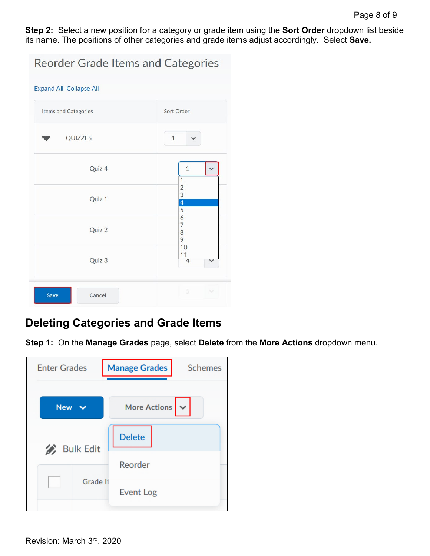**Step 2:** Select a new position for a category or grade item using the **Sort Order** dropdown list beside its name. The positions of other categories and grade items adjust accordingly. Select **Save.**

|                                | <b>Reorder Grade Items and Categories</b> |  |  |
|--------------------------------|-------------------------------------------|--|--|
| <b>Expand All Collapse All</b> |                                           |  |  |
| Items and Categories           | Sort Order                                |  |  |
| QUIZZES                        | $\mathbf{1}$                              |  |  |
| Quiz 4                         | $\mathbf{1}$<br>$1\,$                     |  |  |
| Quiz 1                         | $\frac{2}{3}$<br>$\frac{4}{5}$            |  |  |
| Quiz 2                         | 6<br>$\overline{7}$<br>8<br>9             |  |  |
| Quiz 3                         | 10<br>11<br>4                             |  |  |
| Cancel<br>Save                 | 5<br>$\sim$                               |  |  |

### **Deleting Categories and Grade Items**

**Step 1:** On the **Manage Grades** page, select **Delete** from the **More Actions** dropdown menu.

| <b>Enter Grades</b> |                  | <b>Manage Grades</b><br><b>Schemes</b> |
|---------------------|------------------|----------------------------------------|
| <b>New</b>          |                  | $\vee$<br><b>More Actions</b>          |
|                     |                  | <b>Delete</b>                          |
|                     | <b>Bulk Edit</b> | Reorder                                |
|                     | <b>Grade It</b>  | <b>Event Log</b>                       |